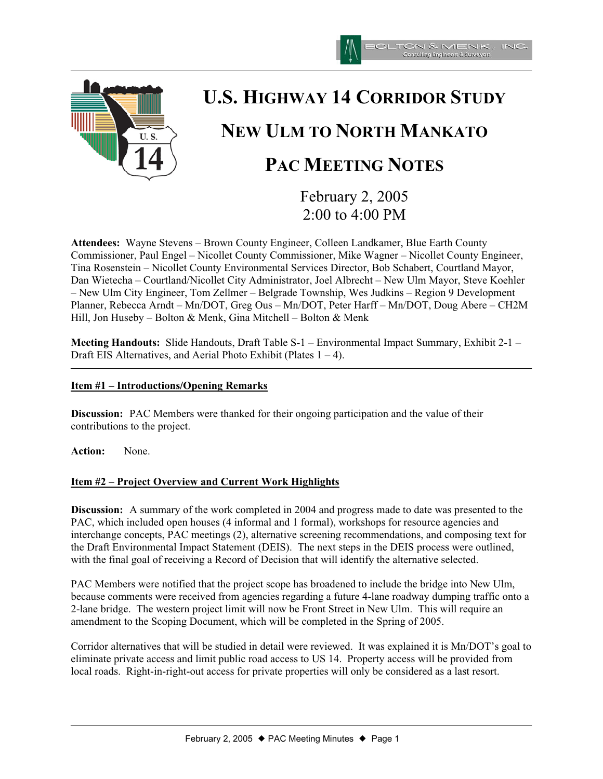



# **U.S. HIGHWAY 14 CORRIDOR STUDY NEW ULM TO NORTH MANKATO PAC MEETING NOTES**

February 2, 2005 2:00 to 4:00 PM

**Attendees:** Wayne Stevens – Brown County Engineer, Colleen Landkamer, Blue Earth County Commissioner, Paul Engel – Nicollet County Commissioner, Mike Wagner – Nicollet County Engineer, Tina Rosenstein – Nicollet County Environmental Services Director, Bob Schabert, Courtland Mayor, Dan Wietecha – Courtland/Nicollet City Administrator, Joel Albrecht – New Ulm Mayor, Steve Koehler – New Ulm City Engineer, Tom Zellmer – Belgrade Township, Wes Judkins – Region 9 Development Planner, Rebecca Arndt – Mn/DOT, Greg Ous – Mn/DOT, Peter Harff – Mn/DOT, Doug Abere – CH2M Hill, Jon Huseby – Bolton & Menk, Gina Mitchell – Bolton & Menk

**Meeting Handouts:** Slide Handouts, Draft Table S-1 – Environmental Impact Summary, Exhibit 2-1 – Draft EIS Alternatives, and Aerial Photo Exhibit (Plates  $1 - 4$ ).

## **Item #1 – Introductions/Opening Remarks**

**Discussion:** PAC Members were thanked for their ongoing participation and the value of their contributions to the project.

**Action:** None.

## **Item #2 – Project Overview and Current Work Highlights**

**Discussion:** A summary of the work completed in 2004 and progress made to date was presented to the PAC, which included open houses (4 informal and 1 formal), workshops for resource agencies and interchange concepts, PAC meetings (2), alternative screening recommendations, and composing text for the Draft Environmental Impact Statement (DEIS). The next steps in the DEIS process were outlined, with the final goal of receiving a Record of Decision that will identify the alternative selected.

PAC Members were notified that the project scope has broadened to include the bridge into New Ulm, because comments were received from agencies regarding a future 4-lane roadway dumping traffic onto a 2-lane bridge. The western project limit will now be Front Street in New Ulm. This will require an amendment to the Scoping Document, which will be completed in the Spring of 2005.

Corridor alternatives that will be studied in detail were reviewed. It was explained it is Mn/DOT's goal to eliminate private access and limit public road access to US 14. Property access will be provided from local roads. Right-in-right-out access for private properties will only be considered as a last resort.